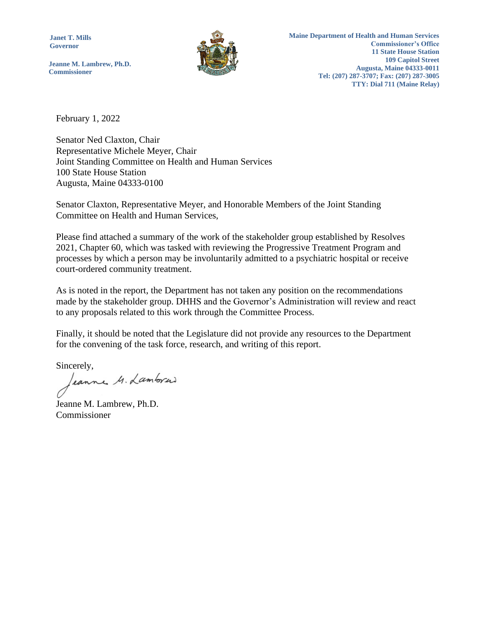**Janet T. Mills Governor**

**Jeanne M. Lambrew, Ph.D. Commissioner**

February 1, 2022

Senator Ned Claxton, Chair Representative Michele Meyer, Chair Joint Standing Committee on Health and Human Services 100 State House Station Augusta, Maine 04333-0100

Senator Claxton, Representative Meyer, and Honorable Members of the Joint Standing Committee on Health and Human Services,

Please find attached a summary of the work of the stakeholder group established by Resolves 2021, Chapter 60, which was tasked with reviewing the Progressive Treatment Program and processes by which a person may be involuntarily admitted to a psychiatric hospital or receive court-ordered community treatment.

As is noted in the report, the Department has not taken any position on the recommendations made by the stakeholder group. DHHS and the Governor's Administration will review and react to any proposals related to this work through the Committee Process.

Finally, it should be noted that the Legislature did not provide any resources to the Department for the convening of the task force, research, and writing of this report.

Sincerely,

leanne M. Lamborai

Jeanne M. Lambrew, Ph.D. Commissioner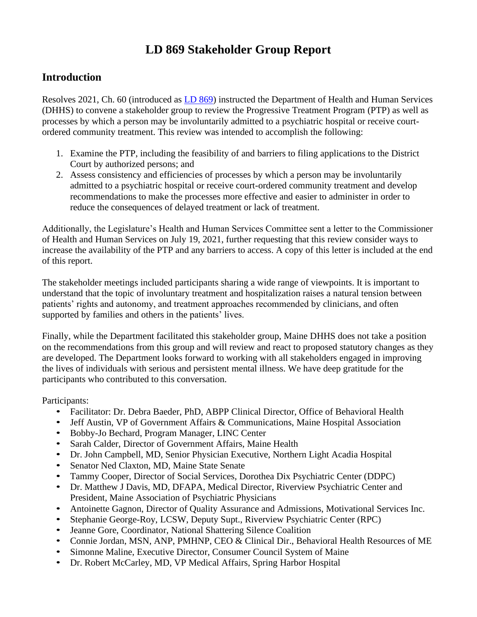# **LD 869 Stakeholder Group Report**

## **Introduction**

Resolves 2021, Ch. 60 (introduced as [LD 869\)](http://www.mainelegislature.org/legis/bills/getPDF.asp?paper=HP0637&item=3&snum=130) instructed the Department of Health and Human Services (DHHS) to convene a stakeholder group to review the Progressive Treatment Program (PTP) as well as processes by which a person may be involuntarily admitted to a psychiatric hospital or receive courtordered community treatment. This review was intended to accomplish the following:

- 1. Examine the PTP, including the feasibility of and barriers to filing applications to the District Court by authorized persons; and
- 2. Assess consistency and efficiencies of processes by which a person may be involuntarily admitted to a psychiatric hospital or receive court-ordered community treatment and develop recommendations to make the processes more effective and easier to administer in order to reduce the consequences of delayed treatment or lack of treatment.

Additionally, the Legislature's Health and Human Services Committee sent a letter to the Commissioner of Health and Human Services on July 19, 2021, further requesting that this review consider ways to increase the availability of the PTP and any barriers to access. A copy of this letter is included at the end of this report.

The stakeholder meetings included participants sharing a wide range of viewpoints. It is important to understand that the topic of involuntary treatment and hospitalization raises a natural tension between patients' rights and autonomy, and treatment approaches recommended by clinicians, and often supported by families and others in the patients' lives.

Finally, while the Department facilitated this stakeholder group, Maine DHHS does not take a position on the recommendations from this group and will review and react to proposed statutory changes as they are developed. The Department looks forward to working with all stakeholders engaged in improving the lives of individuals with serious and persistent mental illness. We have deep gratitude for the participants who contributed to this conversation.

Participants:

- Facilitator: Dr. Debra Baeder, PhD, ABPP Clinical Director, Office of Behavioral Health
- Jeff Austin, VP of Government Affairs & Communications, Maine Hospital Association
- Bobby-Jo Bechard, Program Manager, LINC Center
- Sarah Calder, Director of Government Affairs, Maine Health
- Dr. John Campbell, MD, Senior Physician Executive, Northern Light Acadia Hospital
- Senator Ned Claxton, MD, Maine State Senate
- Tammy Cooper, Director of Social Services, Dorothea Dix Psychiatric Center (DDPC)
- Dr. Matthew J Davis, MD, DFAPA, Medical Director, Riverview Psychiatric Center and President, Maine Association of Psychiatric Physicians
- Antoinette Gagnon, Director of Quality Assurance and Admissions, Motivational Services Inc.
- Stephanie George-Roy, LCSW, Deputy Supt., Riverview Psychiatric Center (RPC)
- Jeanne Gore, Coordinator, National Shattering Silence Coalition
- Connie Jordan, MSN, ANP, PMHNP, CEO & Clinical Dir., Behavioral Health Resources of ME
- Simonne Maline, Executive Director, Consumer Council System of Maine
- Dr. Robert McCarley, MD, VP Medical Affairs, Spring Harbor Hospital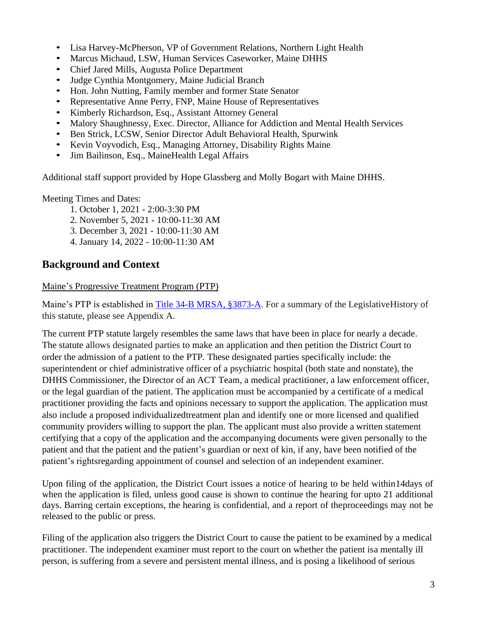- Lisa Harvey-McPherson, VP of Government Relations, Northern Light Health
- Marcus Michaud, LSW, Human Services Caseworker, Maine DHHS
- Chief Jared Mills, Augusta Police Department
- Judge Cynthia Montgomery, Maine Judicial Branch
- Hon. John Nutting, Family member and former State Senator
- Representative Anne Perry, FNP, Maine House of Representatives
- Kimberly Richardson, Esq., Assistant Attorney General
- Malory Shaughnessy, Exec. Director, Alliance for Addiction and Mental Health Services
- Ben Strick, LCSW, Senior Director Adult Behavioral Health, Spurwink
- Kevin Voyvodich, Esq., Managing Attorney, Disability Rights Maine
- Jim Bailinson, Esq., MaineHealth Legal Affairs

Additional staff support provided by Hope Glassberg and Molly Bogart with Maine DHHS.

Meeting Times and Dates:

- 1. October 1, 2021 2:00-3:30 PM
- 2. November 5, 2021 10:00-11:30 AM
- 3. December 3, 2021 10:00-11:30 AM
- 4. January 14, 2022 10:00-11:30 AM

## **Background and Context**

### Maine's Progressive Treatment Program (PTP)

Maine's PTP is established in [Title 34-B MRSA, §3873-A.](https://legislature.maine.gov/statutes/34-B/title34-Bsec3873-A.html) For a summary of the LegislativeHistory of this statute, please see Appendix A.

The current PTP statute largely resembles the same laws that have been in place for nearly a decade. The statute allows designated parties to make an application and then petition the District Court to order the admission of a patient to the PTP. These designated parties specifically include: the superintendent or chief administrative officer of a psychiatric hospital (both state and nonstate), the DHHS Commissioner, the Director of an ACT Team, a medical practitioner, a law enforcement officer, or the legal guardian of the patient. The application must be accompanied by a certificate of a medical practitioner providing the facts and opinions necessary to support the application. The application must also include a proposed individualizedtreatment plan and identify one or more licensed and qualified community providers willing to support the plan. The applicant must also provide a written statement certifying that a copy of the application and the accompanying documents were given personally to the patient and that the patient and the patient's guardian or next of kin, if any, have been notified of the patient's rightsregarding appointment of counsel and selection of an independent examiner.

Upon filing of the application, the District Court issues a notice of hearing to be held within14days of when the application is filed, unless good cause is shown to continue the hearing for upto 21 additional days. Barring certain exceptions, the hearing is confidential, and a report of theproceedings may not be released to the public or press.

Filing of the application also triggers the District Court to cause the patient to be examined by a medical practitioner. The independent examiner must report to the court on whether the patient isa mentally ill person, is suffering from a severe and persistent mental illness, and is posing a likelihood of serious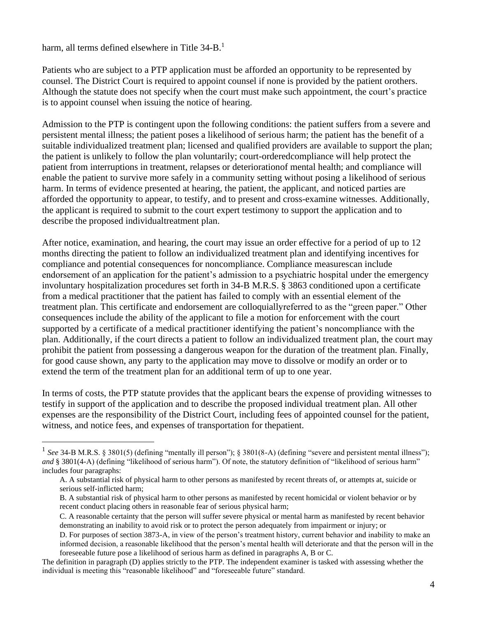harm, all terms defined elsewhere in Title 34-B.<sup>1</sup>

Patients who are subject to a PTP application must be afforded an opportunity to be represented by counsel. The District Court is required to appoint counsel if none is provided by the patient orothers. Although the statute does not specify when the court must make such appointment, the court's practice is to appoint counsel when issuing the notice of hearing.

Admission to the PTP is contingent upon the following conditions: the patient suffers from a severe and persistent mental illness; the patient poses a likelihood of serious harm; the patient has the benefit of a suitable individualized treatment plan; licensed and qualified providers are available to support the plan; the patient is unlikely to follow the plan voluntarily; court-orderedcompliance will help protect the patient from interruptions in treatment, relapses or deteriorationof mental health; and compliance will enable the patient to survive more safely in a community setting without posing a likelihood of serious harm. In terms of evidence presented at hearing, the patient, the applicant, and noticed parties are afforded the opportunity to appear, to testify, and to present and cross-examine witnesses. Additionally, the applicant is required to submit to the court expert testimony to support the application and to describe the proposed individualtreatment plan.

After notice, examination, and hearing, the court may issue an order effective for a period of up to 12 months directing the patient to follow an individualized treatment plan and identifying incentives for compliance and potential consequences for noncompliance. Compliance measurescan include endorsement of an application for the patient's admission to a psychiatric hospital under the emergency involuntary hospitalization procedures set forth in 34-B M.R.S. § 3863 conditioned upon a certificate from a medical practitioner that the patient has failed to comply with an essential element of the treatment plan. This certificate and endorsement are colloquiallyreferred to as the "green paper." Other consequences include the ability of the applicant to file a motion for enforcement with the court supported by a certificate of a medical practitioner identifying the patient's noncompliance with the plan. Additionally, if the court directs a patient to follow an individualized treatment plan, the court may prohibit the patient from possessing a dangerous weapon for the duration of the treatment plan. Finally, for good cause shown, any party to the application may move to dissolve or modify an order or to extend the term of the treatment plan for an additional term of up to one year.

In terms of costs, the PTP statute provides that the applicant bears the expense of providing witnesses to testify in support of the application and to describe the proposed individual treatment plan. All other expenses are the responsibility of the District Court, including fees of appointed counsel for the patient, witness, and notice fees, and expenses of transportation for thepatient.

- B. A substantial risk of physical harm to other persons as manifested by recent homicidal or violent behavior or by recent conduct placing others in reasonable fear of serious physical harm;
- C. A reasonable certainty that the person will suffer severe physical or mental harm as manifested by recent behavior demonstrating an inability to avoid risk or to protect the person adequately from impairment or injury; or
- D. For purposes of section 3873-A, in view of the person's treatment history, current behavior and inability to make an informed decision, a reasonable likelihood that the person's mental health will deteriorate and that the person will in the foreseeable future pose a likelihood of serious harm as defined in paragraphs A, B or C.

<sup>&</sup>lt;sup>1</sup> See 34-B M.R.S. § 3801(5) (defining "mentally ill person"); § 3801(8-A) (defining "severe and persistent mental illness"); *and* § 3801(4-A) (defining "likelihood of serious harm"). Of note, the statutory definition of "likelihood of serious harm" includes four paragraphs:

A. A substantial risk of physical harm to other persons as manifested by recent threats of, or attempts at, suicide or serious self-inflicted harm;

The definition in paragraph (D) applies strictly to the PTP. The independent examiner is tasked with assessing whether the individual is meeting this "reasonable likelihood" and "foreseeable future" standard.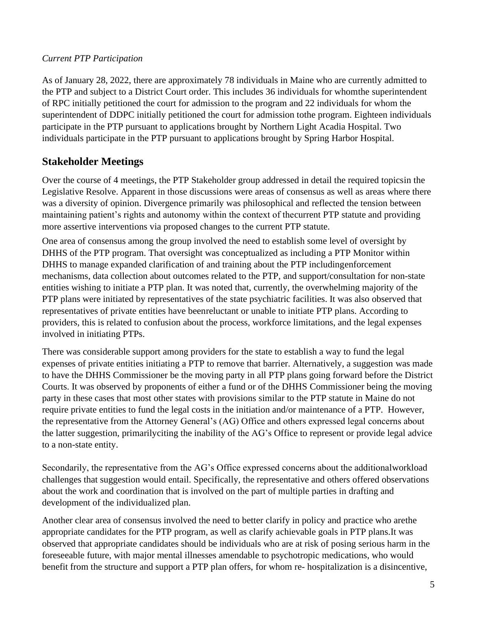## *Current PTP Participation*

As of January 28, 2022, there are approximately 78 individuals in Maine who are currently admitted to the PTP and subject to a District Court order. This includes 36 individuals for whomthe superintendent of RPC initially petitioned the court for admission to the program and 22 individuals for whom the superintendent of DDPC initially petitioned the court for admission tothe program. Eighteen individuals participate in the PTP pursuant to applications brought by Northern Light Acadia Hospital. Two individuals participate in the PTP pursuant to applications brought by Spring Harbor Hospital.

## **Stakeholder Meetings**

Over the course of 4 meetings, the PTP Stakeholder group addressed in detail the required topicsin the Legislative Resolve. Apparent in those discussions were areas of consensus as well as areas where there was a diversity of opinion. Divergence primarily was philosophical and reflected the tension between maintaining patient's rights and autonomy within the context of thecurrent PTP statute and providing more assertive interventions via proposed changes to the current PTP statute.

One area of consensus among the group involved the need to establish some level of oversight by DHHS of the PTP program. That oversight was conceptualized as including a PTP Monitor within DHHS to manage expanded clarification of and training about the PTP includingenforcement mechanisms, data collection about outcomes related to the PTP, and support/consultation for non-state entities wishing to initiate a PTP plan. It was noted that, currently, the overwhelming majority of the PTP plans were initiated by representatives of the state psychiatric facilities. It was also observed that representatives of private entities have beenreluctant or unable to initiate PTP plans. According to providers, this is related to confusion about the process, workforce limitations, and the legal expenses involved in initiating PTPs.

There was considerable support among providers for the state to establish a way to fund the legal expenses of private entities initiating a PTP to remove that barrier. Alternatively, a suggestion was made to have the DHHS Commissioner be the moving party in all PTP plans going forward before the District Courts. It was observed by proponents of either a fund or of the DHHS Commissioner being the moving party in these cases that most other states with provisions similar to the PTP statute in Maine do not require private entities to fund the legal costs in the initiation and/or maintenance of a PTP. However, the representative from the Attorney General's (AG) Office and others expressed legal concerns about the latter suggestion, primarilyciting the inability of the AG's Office to represent or provide legal advice to a non-state entity.

Secondarily, the representative from the AG's Office expressed concerns about the additionalworkload challenges that suggestion would entail. Specifically, the representative and others offered observations about the work and coordination that is involved on the part of multiple parties in drafting and development of the individualized plan.

Another clear area of consensus involved the need to better clarify in policy and practice who arethe appropriate candidates for the PTP program, as well as clarify achievable goals in PTP plans.It was observed that appropriate candidates should be individuals who are at risk of posing serious harm in the foreseeable future, with major mental illnesses amendable to psychotropic medications, who would benefit from the structure and support a PTP plan offers, for whom re- hospitalization is a disincentive,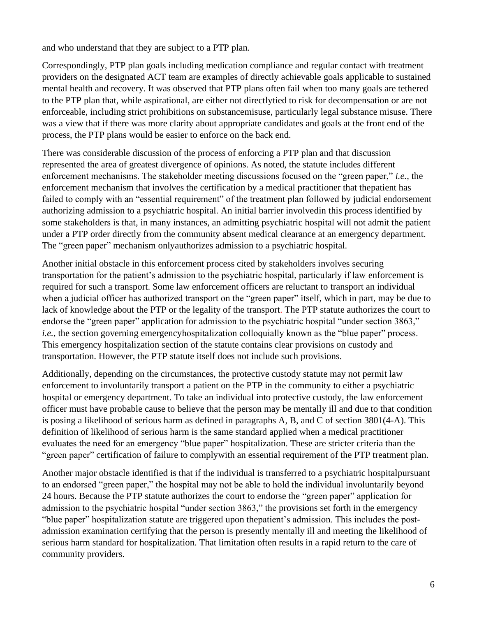and who understand that they are subject to a PTP plan.

Correspondingly, PTP plan goals including medication compliance and regular contact with treatment providers on the designated ACT team are examples of directly achievable goals applicable to sustained mental health and recovery. It was observed that PTP plans often fail when too many goals are tethered to the PTP plan that, while aspirational, are either not directlytied to risk for decompensation or are not enforceable, including strict prohibitions on substancemisuse, particularly legal substance misuse. There was a view that if there was more clarity about appropriate candidates and goals at the front end of the process, the PTP plans would be easier to enforce on the back end.

There was considerable discussion of the process of enforcing a PTP plan and that discussion represented the area of greatest divergence of opinions. As noted, the statute includes different enforcement mechanisms. The stakeholder meeting discussions focused on the "green paper," *i.e.*, the enforcement mechanism that involves the certification by a medical practitioner that thepatient has failed to comply with an "essential requirement" of the treatment plan followed by judicial endorsement authorizing admission to a psychiatric hospital. An initial barrier involvedin this process identified by some stakeholders is that, in many instances, an admitting psychiatric hospital will not admit the patient under a PTP order directly from the community absent medical clearance at an emergency department. The "green paper" mechanism onlyauthorizes admission to a psychiatric hospital.

Another initial obstacle in this enforcement process cited by stakeholders involves securing transportation for the patient's admission to the psychiatric hospital, particularly if law enforcement is required for such a transport. Some law enforcement officers are reluctant to transport an individual when a judicial officer has authorized transport on the "green paper" itself, which in part, may be due to lack of knowledge about the PTP or the legality of the transport. The PTP statute authorizes the court to endorse the "green paper" application for admission to the psychiatric hospital "under section 3863," *i.e.*, the section governing emergencyhospitalization colloquially known as the "blue paper" process. This emergency hospitalization section of the statute contains clear provisions on custody and transportation. However, the PTP statute itself does not include such provisions.

Additionally, depending on the circumstances, the protective custody statute may not permit law enforcement to involuntarily transport a patient on the PTP in the community to either a psychiatric hospital or emergency department. To take an individual into protective custody, the law enforcement officer must have probable cause to believe that the person may be mentally ill and due to that condition is posing a likelihood of serious harm as defined in paragraphs A, B, and C of section 3801(4-A). This definition of likelihood of serious harm is the same standard applied when a medical practitioner evaluates the need for an emergency "blue paper" hospitalization. These are stricter criteria than the "green paper" certification of failure to complywith an essential requirement of the PTP treatment plan.

Another major obstacle identified is that if the individual is transferred to a psychiatric hospitalpursuant to an endorsed "green paper," the hospital may not be able to hold the individual involuntarily beyond 24 hours. Because the PTP statute authorizes the court to endorse the "green paper" application for admission to the psychiatric hospital "under section 3863," the provisions set forth in the emergency "blue paper" hospitalization statute are triggered upon thepatient's admission. This includes the postadmission examination certifying that the person is presently mentally ill and meeting the likelihood of serious harm standard for hospitalization. That limitation often results in a rapid return to the care of community providers.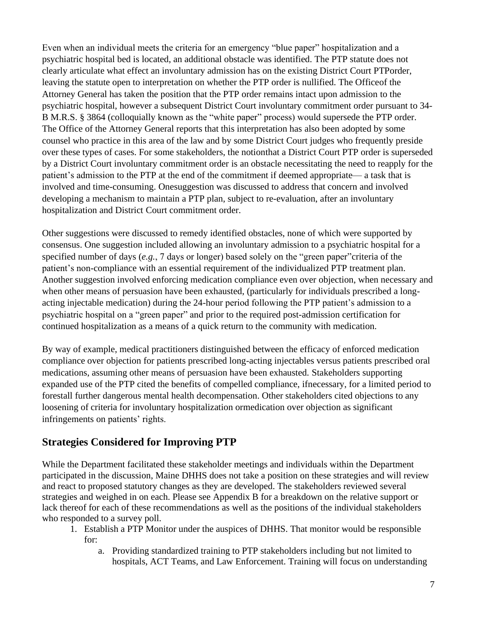Even when an individual meets the criteria for an emergency "blue paper" hospitalization and a psychiatric hospital bed is located, an additional obstacle was identified. The PTP statute does not clearly articulate what effect an involuntary admission has on the existing District Court PTPorder, leaving the statute open to interpretation on whether the PTP order is nullified. The Officeof the Attorney General has taken the position that the PTP order remains intact upon admission to the psychiatric hospital, however a subsequent District Court involuntary commitment order pursuant to 34- B M.R.S. § 3864 (colloquially known as the "white paper" process) would supersede the PTP order. The Office of the Attorney General reports that this interpretation has also been adopted by some counsel who practice in this area of the law and by some District Court judges who frequently preside over these types of cases. For some stakeholders, the notionthat a District Court PTP order is superseded by a District Court involuntary commitment order is an obstacle necessitating the need to reapply for the patient's admission to the PTP at the end of the commitment if deemed appropriate— a task that is involved and time-consuming. Onesuggestion was discussed to address that concern and involved developing a mechanism to maintain a PTP plan, subject to re-evaluation, after an involuntary hospitalization and District Court commitment order.

Other suggestions were discussed to remedy identified obstacles, none of which were supported by consensus. One suggestion included allowing an involuntary admission to a psychiatric hospital for a specified number of days (*e.g.*, 7 days or longer) based solely on the "green paper"criteria of the patient's non-compliance with an essential requirement of the individualized PTP treatment plan. Another suggestion involved enforcing medication compliance even over objection, when necessary and when other means of persuasion have been exhausted, (particularly for individuals prescribed a longacting injectable medication) during the 24-hour period following the PTP patient's admission to a psychiatric hospital on a "green paper" and prior to the required post-admission certification for continued hospitalization as a means of a quick return to the community with medication.

By way of example, medical practitioners distinguished between the efficacy of enforced medication compliance over objection for patients prescribed long-acting injectables versus patients prescribed oral medications, assuming other means of persuasion have been exhausted. Stakeholders supporting expanded use of the PTP cited the benefits of compelled compliance, ifnecessary, for a limited period to forestall further dangerous mental health decompensation. Other stakeholders cited objections to any loosening of criteria for involuntary hospitalization ormedication over objection as significant infringements on patients' rights.

# **Strategies Considered for Improving PTP**

While the Department facilitated these stakeholder meetings and individuals within the Department participated in the discussion, Maine DHHS does not take a position on these strategies and will review and react to proposed statutory changes as they are developed. The stakeholders reviewed several strategies and weighed in on each. Please see Appendix B for a breakdown on the relative support or lack thereof for each of these recommendations as well as the positions of the individual stakeholders who responded to a survey poll.

- 1. Establish a PTP Monitor under the auspices of DHHS. That monitor would be responsible for:
	- a. Providing standardized training to PTP stakeholders including but not limited to hospitals, ACT Teams, and Law Enforcement. Training will focus on understanding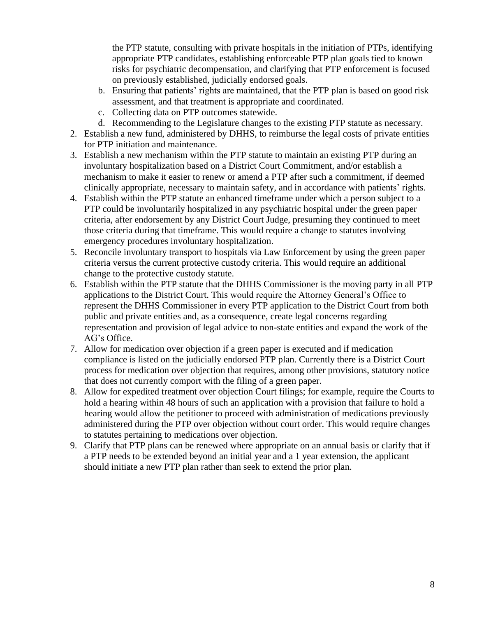the PTP statute, consulting with private hospitals in the initiation of PTPs, identifying appropriate PTP candidates, establishing enforceable PTP plan goals tied to known risks for psychiatric decompensation, and clarifying that PTP enforcement is focused on previously established, judicially endorsed goals.

- b. Ensuring that patients' rights are maintained, that the PTP plan is based on good risk assessment, and that treatment is appropriate and coordinated.
- c. Collecting data on PTP outcomes statewide.
- d. Recommending to the Legislature changes to the existing PTP statute as necessary.
- 2. Establish a new fund, administered by DHHS, to reimburse the legal costs of private entities for PTP initiation and maintenance.
- 3. Establish a new mechanism within the PTP statute to maintain an existing PTP during an involuntary hospitalization based on a District Court Commitment, and/or establish a mechanism to make it easier to renew or amend a PTP after such a commitment, if deemed clinically appropriate, necessary to maintain safety, and in accordance with patients' rights.
- 4. Establish within the PTP statute an enhanced timeframe under which a person subject to a PTP could be involuntarily hospitalized in any psychiatric hospital under the green paper criteria, after endorsement by any District Court Judge, presuming they continued to meet those criteria during that timeframe. This would require a change to statutes involving emergency procedures involuntary hospitalization.
- 5. Reconcile involuntary transport to hospitals via Law Enforcement by using the green paper criteria versus the current protective custody criteria. This would require an additional change to the protective custody statute.
- 6. Establish within the PTP statute that the DHHS Commissioner is the moving party in all PTP applications to the District Court. This would require the Attorney General's Office to represent the DHHS Commissioner in every PTP application to the District Court from both public and private entities and, as a consequence, create legal concerns regarding representation and provision of legal advice to non-state entities and expand the work of the AG's Office.
- 7. Allow for medication over objection if a green paper is executed and if medication compliance is listed on the judicially endorsed PTP plan. Currently there is a District Court process for medication over objection that requires, among other provisions, statutory notice that does not currently comport with the filing of a green paper.
- 8. Allow for expedited treatment over objection Court filings; for example, require the Courts to hold a hearing within 48 hours of such an application with a provision that failure to hold a hearing would allow the petitioner to proceed with administration of medications previously administered during the PTP over objection without court order. This would require changes to statutes pertaining to medications over objection.
- 9. Clarify that PTP plans can be renewed where appropriate on an annual basis or clarify that if a PTP needs to be extended beyond an initial year and a 1 year extension, the applicant should initiate a new PTP plan rather than seek to extend the prior plan.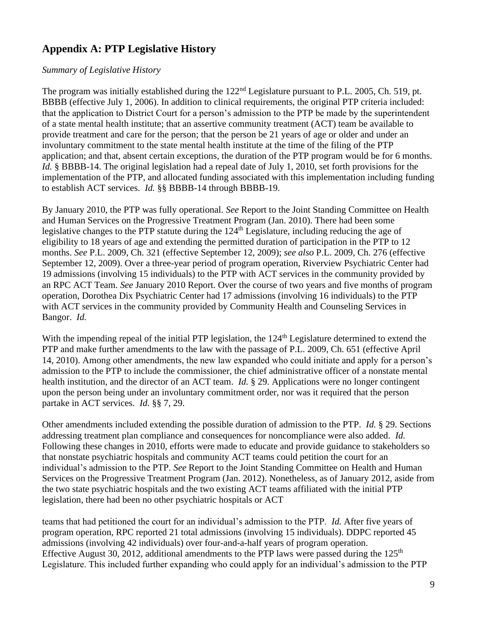# **Appendix A: PTP Legislative History**

### *Summary of Legislative History*

The program was initially established during the 122<sup>nd</sup> Legislature pursuant to P.L. 2005, Ch. 519, pt. BBBB (effective July 1, 2006). In addition to clinical requirements, the original PTP criteria included: that the application to District Court for a person's admission to the PTP be made by the superintendent of a state mental health institute; that an assertive community treatment (ACT) team be available to provide treatment and care for the person; that the person be 21 years of age or older and under an involuntary commitment to the state mental health institute at the time of the filing of the PTP application; and that, absent certain exceptions, the duration of the PTP program would be for 6 months. *Id.* § BBBB-14. The original legislation had a repeal date of July 1, 2010, set forth provisions for the implementation of the PTP, and allocated funding associated with this implementation including funding to establish ACT services. *Id.* §§ BBBB-14 through BBBB-19.

By January 2010, the PTP was fully operational. *See* Report to the Joint Standing Committee on Health and Human Services on the Progressive Treatment Program (Jan. 2010). There had been some legislative changes to the PTP statute during the 124<sup>th</sup> Legislature, including reducing the age of eligibility to 18 years of age and extending the permitted duration of participation in the PTP to 12 months. *See* P.L. 2009, Ch. 321 (effective September 12, 2009); *see also* P.L. 2009, Ch. 276 (effective September 12, 2009). Over a three-year period of program operation, Riverview Psychiatric Center had 19 admissions (involving 15 individuals) to the PTP with ACT services in the community provided by an RPC ACT Team. *See* January 2010 Report. Over the course of two years and five months of program operation, Dorothea Dix Psychiatric Center had 17 admissions (involving 16 individuals) to the PTP with ACT services in the community provided by Community Health and Counseling Services in Bangor. *Id.*

With the impending repeal of the initial PTP legislation, the 124<sup>th</sup> Legislature determined to extend the PTP and make further amendments to the law with the passage of P.L. 2009, Ch. 651 (effective April 14, 2010). Among other amendments, the new law expanded who could initiate and apply for a person's admission to the PTP to include the commissioner, the chief administrative officer of a nonstate mental health institution, and the director of an ACT team. *Id.* § 29. Applications were no longer contingent upon the person being under an involuntary commitment order, nor was it required that the person partake in ACT services. *Id.* §§ 7, 29.

Other amendments included extending the possible duration of admission to the PTP. *Id.* § 29. Sections addressing treatment plan compliance and consequences for noncompliance were also added. *Id.* Following these changes in 2010, efforts were made to educate and provide guidance to stakeholders so that nonstate psychiatric hospitals and community ACT teams could petition the court for an individual's admission to the PTP*. See* Report to the Joint Standing Committee on Health and Human Services on the Progressive Treatment Program (Jan. 2012). Nonetheless, as of January 2012, aside from the two state psychiatric hospitals and the two existing ACT teams affiliated with the initial PTP legislation, there had been no other psychiatric hospitals or ACT

teams that had petitioned the court for an individual's admission to the PTP. *Id.* After five years of program operation, RPC reported 21 total admissions (involving 15 individuals). DDPC reported 45 admissions (involving 42 individuals) over four-and-a-half years of program operation. Effective August 30, 2012, additional amendments to the PTP laws were passed during the  $125<sup>th</sup>$ Legislature. This included further expanding who could apply for an individual's admission to the PTP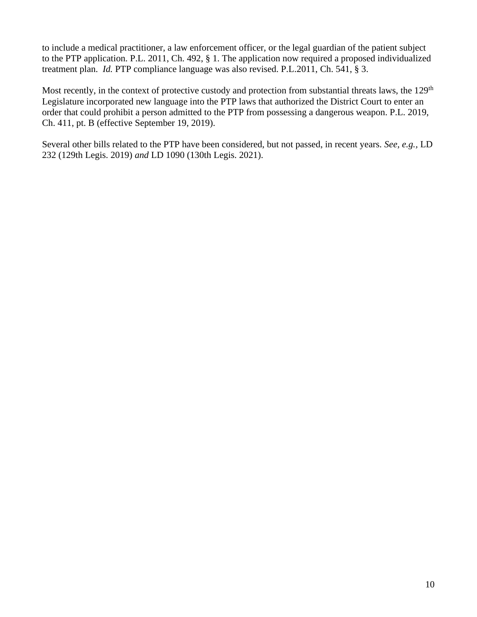to include a medical practitioner, a law enforcement officer, or the legal guardian of the patient subject to the PTP application. P.L. 2011, Ch. 492, § 1. The application now required a proposed individualized treatment plan. *Id.* PTP compliance language was also revised. P.L.2011, Ch. 541, § 3.

Most recently, in the context of protective custody and protection from substantial threats laws, the 129<sup>th</sup> Legislature incorporated new language into the PTP laws that authorized the District Court to enter an order that could prohibit a person admitted to the PTP from possessing a dangerous weapon. P.L. 2019, Ch. 411, pt. B (effective September 19, 2019).

Several other bills related to the PTP have been considered, but not passed, in recent years. *See, e.g.,* LD 232 (129th Legis. 2019) *and* LD 1090 (130th Legis. 2021).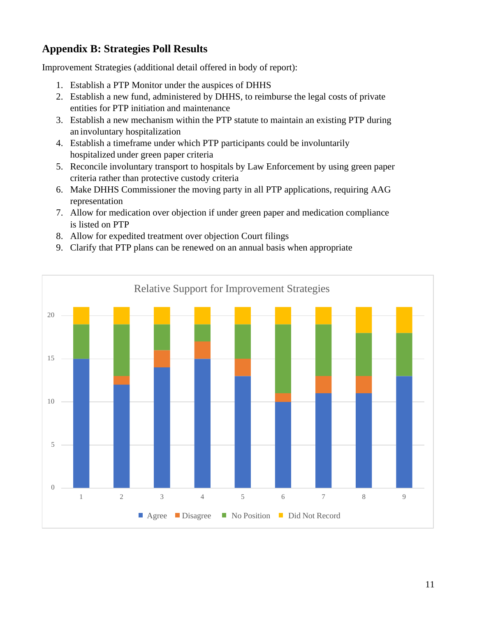# **Appendix B: Strategies Poll Results**

Improvement Strategies (additional detail offered in body of report):

- 1. Establish a PTP Monitor under the auspices of DHHS
- 2. Establish a new fund, administered by DHHS, to reimburse the legal costs of private entities for PTP initiation and maintenance
- 3. Establish a new mechanism within the PTP statute to maintain an existing PTP during an involuntary hospitalization
- 4. Establish a timeframe under which PTP participants could be involuntarily hospitalized under green paper criteria
- 5. Reconcile involuntary transport to hospitals by Law Enforcement by using green paper criteria rather than protective custody criteria
- 6. Make DHHS Commissioner the moving party in all PTP applications, requiring AAG representation
- 7. Allow for medication over objection if under green paper and medication compliance is listed on PTP
- 8. Allow for expedited treatment over objection Court filings
- 9. Clarify that PTP plans can be renewed on an annual basis when appropriate

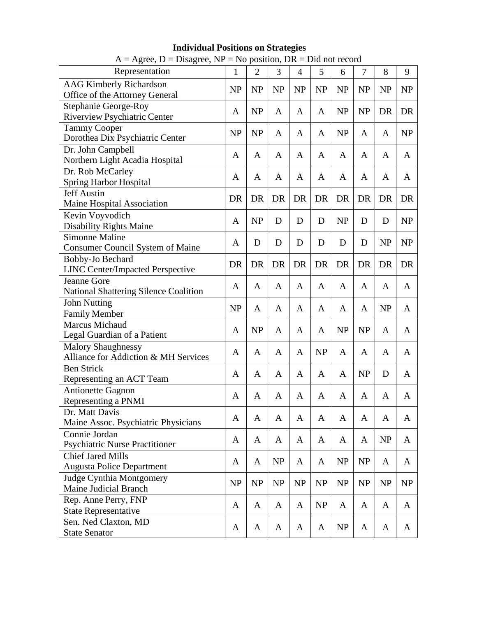| $A = \text{Agree}, D = \text{Disagree}, NP = \text{No position}, DR = \text{Did not record}$ |           |                |           |           |           |           |           |              |           |
|----------------------------------------------------------------------------------------------|-----------|----------------|-----------|-----------|-----------|-----------|-----------|--------------|-----------|
| Representation                                                                               | 1         | $\overline{2}$ | 3         | 4         | 5         | 6         | 7         | 8            | 9         |
| <b>AAG Kimberly Richardson</b><br>Office of the Attorney General                             | <b>NP</b> | <b>NP</b>      | <b>NP</b> | <b>NP</b> | <b>NP</b> | NP        | NP        | <b>NP</b>    | <b>NP</b> |
| <b>Stephanie George-Roy</b><br><b>Riverview Psychiatric Center</b>                           | A         | <b>NP</b>      | A         | A         | A         | <b>NP</b> | <b>NP</b> | DR           | DR        |
| <b>Tammy Cooper</b><br>Dorothea Dix Psychiatric Center                                       | <b>NP</b> | <b>NP</b>      | A         | A         | A         | <b>NP</b> | A         | A            | NP        |
| Dr. John Campbell<br>Northern Light Acadia Hospital                                          | A         | A              | A         | A         | A         | A         | A         | A            | A         |
| Dr. Rob McCarley<br><b>Spring Harbor Hospital</b>                                            | A         | A              | A         | A         | A         | A         | A         | A            | A         |
| <b>Jeff Austin</b><br>Maine Hospital Association                                             | DR        | DR             | <b>DR</b> | <b>DR</b> | DR        | DR        | <b>DR</b> | DR           | DR        |
| Kevin Voyvodich<br><b>Disability Rights Maine</b>                                            | A         | <b>NP</b>      | D         | D         | D         | NP        | D         | D            | <b>NP</b> |
| <b>Simonne Maline</b><br><b>Consumer Council System of Maine</b>                             | A         | D              | D         | D         | D         | D         | D         | <b>NP</b>    | <b>NP</b> |
| Bobby-Jo Bechard<br><b>LINC Center/Impacted Perspective</b>                                  | DR        | DR             | <b>DR</b> | DR        | DR        | <b>DR</b> | <b>DR</b> | DR           | DR        |
| Jeanne Gore<br>National Shattering Silence Coalition                                         | A         | A              | A         | A         | A         | A         | A         | A            | A         |
| <b>John Nutting</b><br><b>Family Member</b>                                                  | <b>NP</b> | A              | A         | A         | A         | A         | A         | <b>NP</b>    | A         |
| <b>Marcus Michaud</b><br>Legal Guardian of a Patient                                         | A         | <b>NP</b>      | A         | A         | A         | NP        | <b>NP</b> | A            | A         |
| <b>Malory Shaughnessy</b><br>Alliance for Addiction & MH Services                            | A         | A              | A         | A         | <b>NP</b> | A         | A         | A            | A         |
| <b>Ben Strick</b><br>Representing an ACT Team                                                | A         | A              | A         | A         | A         | A         | <b>NP</b> | D            | A         |
| <b>Antionette Gagnon</b><br>Representing a PNMI                                              | A         | A              | A         | A         | A         | A         | A         | A            | A         |
| Dr. Matt Davis<br>Maine Assoc. Psychiatric Physicians                                        | A         | $\mathbf{A}$   | A         | A         | A         | A         | A         | $\mathbf{A}$ | A         |
| Connie Jordan<br><b>Psychiatric Nurse Practitioner</b>                                       | A         | A              | A         | A         | A         | A         | A         | NP           | A         |
| <b>Chief Jared Mills</b><br><b>Augusta Police Department</b>                                 | A         | A              | <b>NP</b> | A         | A         | NP        | <b>NP</b> | A            | A         |
| Judge Cynthia Montgomery<br><b>Maine Judicial Branch</b>                                     | NP        | <b>NP</b>      | <b>NP</b> | NP        | NP        | NP        | NP        | NP           | NP        |
| Rep. Anne Perry, FNP<br><b>State Representative</b>                                          | A         | A              | A         | A         | NP        | A         | A         | A            | A         |
| Sen. Ned Claxton, MD<br><b>State Senator</b>                                                 | A         | A              | A         | A         | A         | NP        | A         | A            | A         |

## **Individual Positions on Strategies**